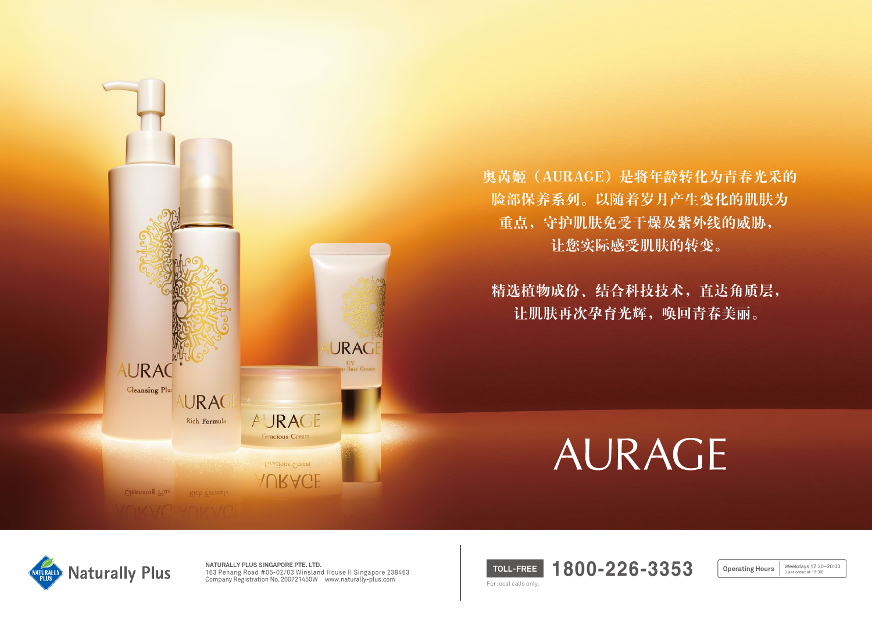

奥芮姬(AURAGE)是将年龄转化为青春光采的 脸部保养系列。以随着岁月产生变化的肌肤为 重点,守护肌肤免受干燥及紫外线的威胁, 让您实际感受肌肤的转变。

精选植物成份、结合科技技术,直达角质层, 让肌肤再次孕育光辉,唤回青春美丽。

# AURAGE



**NATURALLY PLUS SINGAPORE PTE. LTD.**  163 Penang Road #05-02/03 Winsland House II Singapore 238463 Company Registration No. 200721450W www.naturally-plus.com

**TOLL-FREE 1800-226-3353** For local calls only.

Weekdays 12:30~20:00<br>(Last order at 19:30) **Operating Hours**